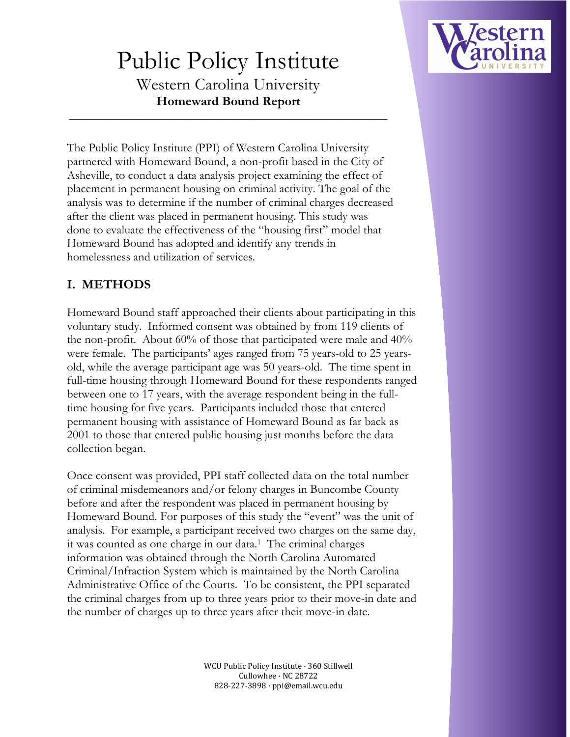

# Public Policy Institute

Western Carolina University **Homeward Bound Report**

\_\_\_\_\_\_\_\_\_\_\_\_\_\_\_\_\_\_\_\_\_\_\_\_\_\_\_\_\_\_\_\_\_\_\_\_\_\_\_\_\_\_\_\_\_\_\_\_\_\_\_\_\_\_\_\_\_

The Public Policy Institute (PPI) of Western Carolina University partnered with Homeward Bound, a non-profit based in the City of Asheville, to conduct a data analysis project examining the effect of placement in permanent housing on criminal activity. The goal of the analysis was to determine if the number of criminal charges decreased after the client was placed in permanent housing. This study was done to evaluate the effectiveness of the "housing first" model that Homeward Bound has adopted and identify any trends in homelessness and utilization of services.

## **I. METHODS**

Homeward Bound staff approached their clients about participating in this voluntary study. Informed consent was obtained by from 119 clients of the non-profit. About 60% of those that participated were male and 40% were female. The participants' ages ranged from 75 years-old to 25 yearsold, while the average participant age was 50 years-old. The time spent in full-time housing through Homeward Bound for these respondents ranged between one to 17 years, with the average respondent being in the fulltime housing for five years. Participants included those that entered permanent housing with assistance of Homeward Bound as far back as 2001 to those that entered public housing just months before the data collection began.

Once consent was provided, PPI staff collected data on the total number of criminal misdemeanors and/or felony charges in Buncombe County before and after the respondent was placed in permanent housing by Homeward Bound. For purposes of this study the "event" was the unit of analysis. For example, a participant received two charges on the same day, it was counted as one charge in our data.<sup>1</sup> The criminal charges information was obtained through the North Carolina Automated Criminal/Infraction System which is maintained by the North Carolina Administrative Office of the Courts. To be consistent, the PPI separated the criminal charges from up to three years prior to their move-in date and the number of charges up to three years after their move-in date.

> WCU Public Policy Institute · 360 Stillwell Cullowhee · NC 28722 828-227-3898 · ppi@email.wcu.edu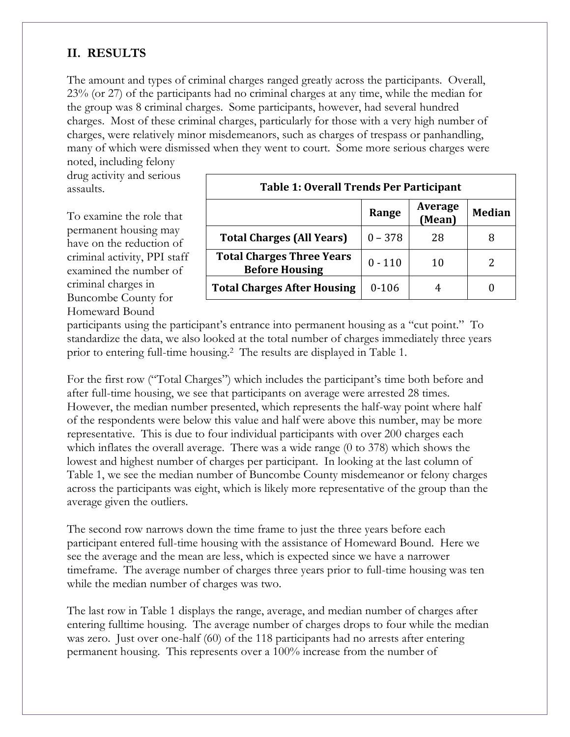#### **II. RESULTS**

The amount and types of criminal charges ranged greatly across the participants. Overall, 23% (or 27) of the participants had no criminal charges at any time, while the median for the group was 8 criminal charges. Some participants, however, had several hundred charges. Most of these criminal charges, particularly for those with a very high number of charges, were relatively minor misdemeanors, such as charges of trespass or panhandling, many of which were dismissed when they went to court. Some more serious charges were

noted, including felony drug activity and serious assaults.

To examine the role that permanent housing may have on the reduction of criminal activity, PPI staff examined the number of criminal charges in Buncombe County for Homeward Bound

| <b>Table 1: Overall Trends Per Participant</b>            |           |                   |               |  |  |  |  |
|-----------------------------------------------------------|-----------|-------------------|---------------|--|--|--|--|
|                                                           | Range     | Average<br>(Mean) | <b>Median</b> |  |  |  |  |
| <b>Total Charges (All Years)</b>                          | $0 - 378$ | 28                |               |  |  |  |  |
| <b>Total Charges Three Years</b><br><b>Before Housing</b> | $0 - 110$ | 10                |               |  |  |  |  |
| <b>Total Charges After Housing</b>                        | $0 - 106$ |                   |               |  |  |  |  |

participants using the participant's entrance into permanent housing as a "cut point." To standardize the data, we also looked at the total number of charges immediately three years prior to entering full-time housing.<sup>2</sup> The results are displayed in Table 1.

For the first row ("Total Charges") which includes the participant's time both before and after full-time housing, we see that participants on average were arrested 28 times. However, the median number presented, which represents the half-way point where half of the respondents were below this value and half were above this number, may be more representative. This is due to four individual participants with over 200 charges each which inflates the overall average. There was a wide range (0 to 378) which shows the lowest and highest number of charges per participant. In looking at the last column of Table 1, we see the median number of Buncombe County misdemeanor or felony charges across the participants was eight, which is likely more representative of the group than the average given the outliers.

The second row narrows down the time frame to just the three years before each participant entered full-time housing with the assistance of Homeward Bound. Here we see the average and the mean are less, which is expected since we have a narrower timeframe. The average number of charges three years prior to full-time housing was ten while the median number of charges was two.

The last row in Table 1 displays the range, average, and median number of charges after entering fulltime housing. The average number of charges drops to four while the median was zero. Just over one-half (60) of the 118 participants had no arrests after entering permanent housing. This represents over a 100% increase from the number of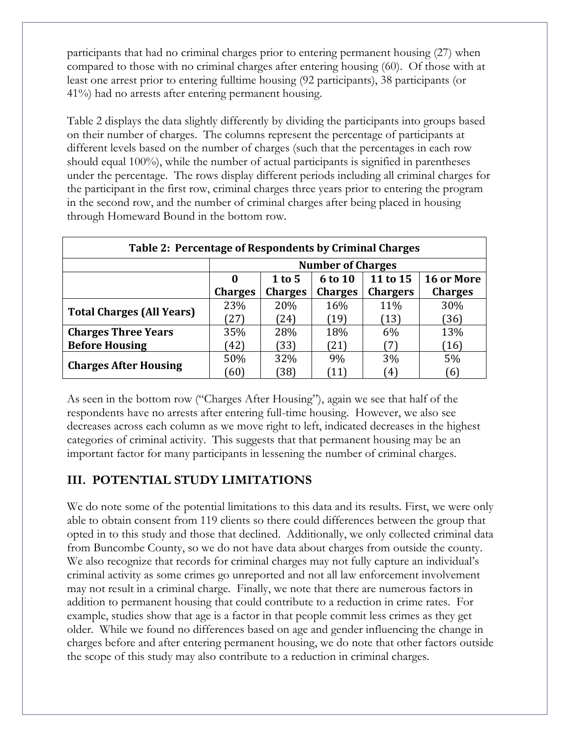participants that had no criminal charges prior to entering permanent housing (27) when compared to those with no criminal charges after entering housing (60). Of those with at least one arrest prior to entering fulltime housing (92 participants), 38 participants (or 41%) had no arrests after entering permanent housing.

Table 2 displays the data slightly differently by dividing the participants into groups based on their number of charges. The columns represent the percentage of participants at different levels based on the number of charges (such that the percentages in each row should equal 100%), while the number of actual participants is signified in parentheses under the percentage. The rows display different periods including all criminal charges for the participant in the first row, criminal charges three years prior to entering the program in the second row, and the number of criminal charges after being placed in housing through Homeward Bound in the bottom row.

| Table 2: Percentage of Respondents by Criminal Charges |                          |                |                |                 |                   |  |  |
|--------------------------------------------------------|--------------------------|----------------|----------------|-----------------|-------------------|--|--|
|                                                        | <b>Number of Charges</b> |                |                |                 |                   |  |  |
|                                                        | 0                        | $1$ to 5       | 6 to 10        | 11 to 15        | <b>16 or More</b> |  |  |
|                                                        | <b>Charges</b>           | <b>Charges</b> | <b>Charges</b> | <b>Chargers</b> | <b>Charges</b>    |  |  |
| <b>Total Charges (All Years)</b>                       | 23%                      | 20%            | 16%            | 11%             | 30%               |  |  |
|                                                        | [27]                     | 24)            | (19)           | (13)            | (36)              |  |  |
| <b>Charges Three Years</b>                             | 35%                      | 28%            | 18%            | 6%              | 13%               |  |  |
| <b>Before Housing</b>                                  | (42)                     | 33)            | (21)           | 7               | (16)              |  |  |
| <b>Charges After Housing</b>                           | 50%                      | 32%            | 9%             | 3%              | 5%                |  |  |
|                                                        | [60]                     | 38)            | 11             | $4^{\circ}$     | [6]               |  |  |

As seen in the bottom row ("Charges After Housing"), again we see that half of the respondents have no arrests after entering full-time housing. However, we also see decreases across each column as we move right to left, indicated decreases in the highest categories of criminal activity. This suggests that that permanent housing may be an important factor for many participants in lessening the number of criminal charges.

## **III. POTENTIAL STUDY LIMITATIONS**

We do note some of the potential limitations to this data and its results. First, we were only able to obtain consent from 119 clients so there could differences between the group that opted in to this study and those that declined. Additionally, we only collected criminal data from Buncombe County, so we do not have data about charges from outside the county. We also recognize that records for criminal charges may not fully capture an individual's criminal activity as some crimes go unreported and not all law enforcement involvement may not result in a criminal charge. Finally, we note that there are numerous factors in addition to permanent housing that could contribute to a reduction in crime rates. For example, studies show that age is a factor in that people commit less crimes as they get older. While we found no differences based on age and gender influencing the change in charges before and after entering permanent housing, we do note that other factors outside the scope of this study may also contribute to a reduction in criminal charges.